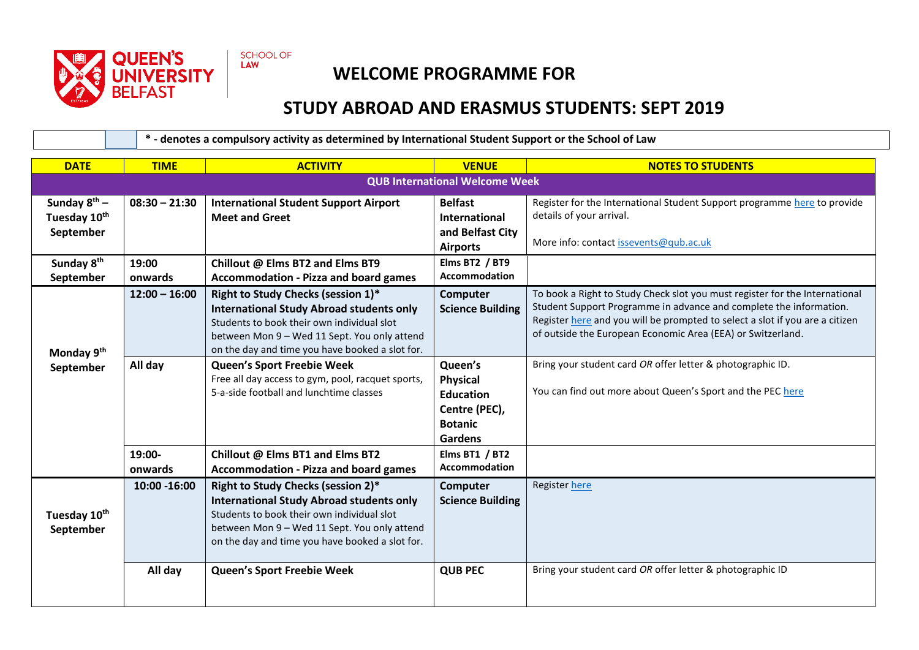

SCHOOL OF LAW

## **WELCOME PROGRAMME FOR**

## **STUDY ABROAD AND ERASMUS STUDENTS: SEPT 2019**

**\* - denotes a compulsory activity as determined by International Student Support or the School of Law**

| <b>DATE</b>                                    | <b>TIME</b>                           | <b>ACTIVITY</b>                                                                                                                                                                                                                        | <b>VENUE</b>                                                                                        | <b>NOTES TO STUDENTS</b>                                                                                                                                                                                                                                                                         |  |  |
|------------------------------------------------|---------------------------------------|----------------------------------------------------------------------------------------------------------------------------------------------------------------------------------------------------------------------------------------|-----------------------------------------------------------------------------------------------------|--------------------------------------------------------------------------------------------------------------------------------------------------------------------------------------------------------------------------------------------------------------------------------------------------|--|--|
|                                                | <b>QUB International Welcome Week</b> |                                                                                                                                                                                                                                        |                                                                                                     |                                                                                                                                                                                                                                                                                                  |  |  |
| Sunday $8^{th}$ –<br>Tuesday 10th<br>September | $08:30 - 21:30$                       | <b>International Student Support Airport</b><br><b>Meet and Greet</b>                                                                                                                                                                  | <b>Belfast</b><br>International<br>and Belfast City<br><b>Airports</b>                              | Register for the International Student Support programme here to provide<br>details of your arrival.<br>More info: contact issevents@qub.ac.uk                                                                                                                                                   |  |  |
| Sunday 8 <sup>th</sup><br>September            | 19:00<br>onwards                      | Chillout @ Elms BT2 and Elms BT9<br><b>Accommodation - Pizza and board games</b>                                                                                                                                                       | Elms BT2 / BT9<br><b>Accommodation</b>                                                              |                                                                                                                                                                                                                                                                                                  |  |  |
| Monday 9 <sup>th</sup>                         | $12:00 - 16:00$                       | Right to Study Checks (session 1)*<br><b>International Study Abroad students only</b><br>Students to book their own individual slot<br>between Mon 9 - Wed 11 Sept. You only attend<br>on the day and time you have booked a slot for. | Computer<br><b>Science Building</b>                                                                 | To book a Right to Study Check slot you must register for the International<br>Student Support Programme in advance and complete the information.<br>Register here and you will be prompted to select a slot if you are a citizen<br>of outside the European Economic Area (EEA) or Switzerland. |  |  |
| September                                      | All day                               | Queen's Sport Freebie Week<br>Free all day access to gym, pool, racquet sports,<br>5-a-side football and lunchtime classes                                                                                                             | Queen's<br><b>Physical</b><br><b>Education</b><br>Centre (PEC),<br><b>Botanic</b><br><b>Gardens</b> | Bring your student card OR offer letter & photographic ID.<br>You can find out more about Queen's Sport and the PEC here                                                                                                                                                                         |  |  |
|                                                | 19:00-<br>onwards                     | Chillout @ Elms BT1 and Elms BT2<br><b>Accommodation - Pizza and board games</b>                                                                                                                                                       | Elms BT1 / BT2<br><b>Accommodation</b>                                                              |                                                                                                                                                                                                                                                                                                  |  |  |
| Tuesday 10th<br>September                      | 10:00 -16:00                          | Right to Study Checks (session 2)*<br><b>International Study Abroad students only</b><br>Students to book their own individual slot<br>between Mon 9 - Wed 11 Sept. You only attend<br>on the day and time you have booked a slot for. | Computer<br><b>Science Building</b>                                                                 | Register here                                                                                                                                                                                                                                                                                    |  |  |
|                                                | All day                               | Queen's Sport Freebie Week                                                                                                                                                                                                             | <b>QUB PEC</b>                                                                                      | Bring your student card OR offer letter & photographic ID                                                                                                                                                                                                                                        |  |  |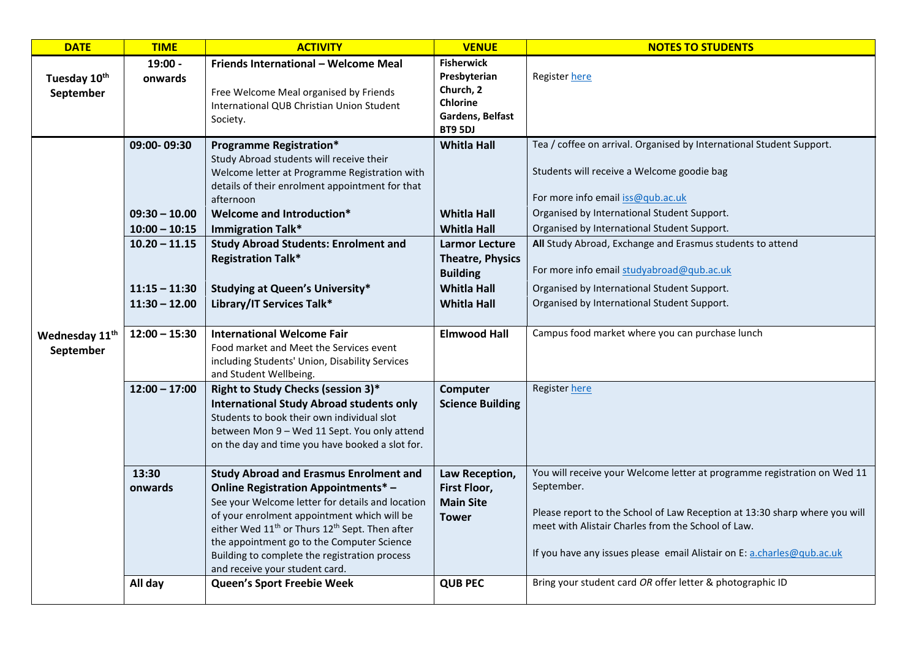| <b>DATE</b>                             | <b>TIME</b>                                                                                                | <b>ACTIVITY</b>                                                                                                                                                                                                                                                                                                                                                                                          | <b>VENUE</b>                                                                                                                                                                      | <b>NOTES TO STUDENTS</b>                                                                                                                                                                                                                                                                                                                                                                                                                                      |
|-----------------------------------------|------------------------------------------------------------------------------------------------------------|----------------------------------------------------------------------------------------------------------------------------------------------------------------------------------------------------------------------------------------------------------------------------------------------------------------------------------------------------------------------------------------------------------|-----------------------------------------------------------------------------------------------------------------------------------------------------------------------------------|---------------------------------------------------------------------------------------------------------------------------------------------------------------------------------------------------------------------------------------------------------------------------------------------------------------------------------------------------------------------------------------------------------------------------------------------------------------|
| Tuesday 10 <sup>th</sup><br>September   | 19:00 -<br>onwards                                                                                         | Friends International - Welcome Meal<br>Free Welcome Meal organised by Friends<br>International QUB Christian Union Student<br>Society.                                                                                                                                                                                                                                                                  | <b>Fisherwick</b><br>Presbyterian<br>Church, 2<br><b>Chlorine</b><br>Gardens, Belfast<br>BT9 5DJ                                                                                  | Register here                                                                                                                                                                                                                                                                                                                                                                                                                                                 |
|                                         | 09:00-09:30<br>$09:30 - 10.00$<br>$10:00 - 10:15$<br>$10.20 - 11.15$<br>$11:15 - 11:30$<br>$11:30 - 12.00$ | <b>Programme Registration*</b><br>Study Abroad students will receive their<br>Welcome letter at Programme Registration with<br>details of their enrolment appointment for that<br>afternoon<br>Welcome and Introduction*<br><b>Immigration Talk*</b><br><b>Study Abroad Students: Enrolment and</b><br><b>Registration Talk*</b><br><b>Studying at Queen's University*</b><br>Library/IT Services Talk*  | <b>Whitla Hall</b><br><b>Whitla Hall</b><br><b>Whitla Hall</b><br><b>Larmor Lecture</b><br><b>Theatre, Physics</b><br><b>Building</b><br><b>Whitla Hall</b><br><b>Whitla Hall</b> | Tea / coffee on arrival. Organised by International Student Support.<br>Students will receive a Welcome goodie bag<br>For more info email iss@qub.ac.uk<br>Organised by International Student Support.<br>Organised by International Student Support.<br>All Study Abroad, Exchange and Erasmus students to attend<br>For more info email studyabroad@qub.ac.uk<br>Organised by International Student Support.<br>Organised by International Student Support. |
| Wednesday 11 <sup>th</sup><br>September | $12:00 - 15:30$                                                                                            | <b>International Welcome Fair</b><br>Food market and Meet the Services event<br>including Students' Union, Disability Services<br>and Student Wellbeing.                                                                                                                                                                                                                                                 | <b>Elmwood Hall</b>                                                                                                                                                               | Campus food market where you can purchase lunch                                                                                                                                                                                                                                                                                                                                                                                                               |
|                                         | $12:00 - 17:00$                                                                                            | Right to Study Checks (session 3)*<br><b>International Study Abroad students only</b><br>Students to book their own individual slot<br>between Mon 9 - Wed 11 Sept. You only attend<br>on the day and time you have booked a slot for.                                                                                                                                                                   | Computer<br><b>Science Building</b>                                                                                                                                               | Register here                                                                                                                                                                                                                                                                                                                                                                                                                                                 |
|                                         | 13:30<br>onwards                                                                                           | <b>Study Abroad and Erasmus Enrolment and</b><br><b>Online Registration Appointments*-</b><br>See your Welcome letter for details and location<br>of your enrolment appointment which will be<br>either Wed 11 <sup>th</sup> or Thurs 12 <sup>th</sup> Sept. Then after<br>the appointment go to the Computer Science<br>Building to complete the registration process<br>and receive your student card. | Law Reception,<br>First Floor,<br><b>Main Site</b><br><b>Tower</b>                                                                                                                | You will receive your Welcome letter at programme registration on Wed 11<br>September.<br>Please report to the School of Law Reception at 13:30 sharp where you will<br>meet with Alistair Charles from the School of Law.<br>If you have any issues please email Alistair on E: a.charles@qub.ac.uk                                                                                                                                                          |
|                                         | All day                                                                                                    | Queen's Sport Freebie Week                                                                                                                                                                                                                                                                                                                                                                               | <b>QUB PEC</b>                                                                                                                                                                    | Bring your student card OR offer letter & photographic ID                                                                                                                                                                                                                                                                                                                                                                                                     |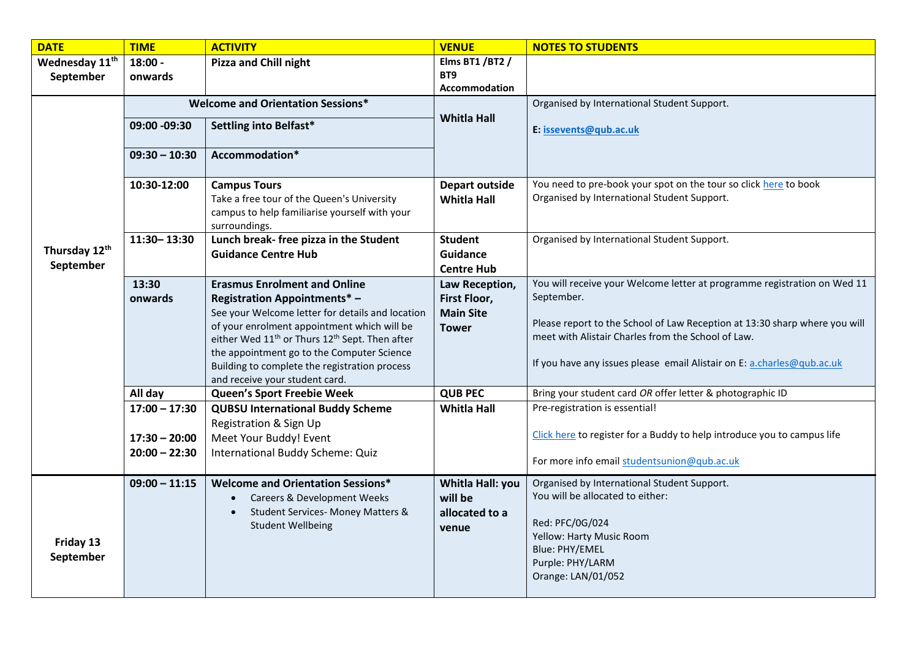| <b>DATE</b>                | <b>TIME</b>                        | <b>ACTIVITY</b>                                                                                                                                                                                                                                                                                            | <b>VENUE</b>                                           | <b>NOTES TO STUDENTS</b>                                                                                                                                                                                   |
|----------------------------|------------------------------------|------------------------------------------------------------------------------------------------------------------------------------------------------------------------------------------------------------------------------------------------------------------------------------------------------------|--------------------------------------------------------|------------------------------------------------------------------------------------------------------------------------------------------------------------------------------------------------------------|
| Wednesday 11 <sup>th</sup> | $18:00 -$                          | <b>Pizza and Chill night</b>                                                                                                                                                                                                                                                                               | Elms BT1 / BT2 /                                       |                                                                                                                                                                                                            |
| September                  | onwards                            |                                                                                                                                                                                                                                                                                                            | BT9                                                    |                                                                                                                                                                                                            |
|                            |                                    |                                                                                                                                                                                                                                                                                                            | Accommodation                                          |                                                                                                                                                                                                            |
|                            | Welcome and Orientation Sessions*  |                                                                                                                                                                                                                                                                                                            |                                                        | Organised by International Student Support.                                                                                                                                                                |
|                            | 09:00 -09:30                       | <b>Settling into Belfast*</b>                                                                                                                                                                                                                                                                              | <b>Whitla Hall</b>                                     | E: issevents@qub.ac.uk                                                                                                                                                                                     |
|                            | $09:30 - 10:30$                    | Accommodation*                                                                                                                                                                                                                                                                                             |                                                        |                                                                                                                                                                                                            |
|                            | 10:30-12:00                        | <b>Campus Tours</b><br>Take a free tour of the Queen's University<br>campus to help familiarise yourself with your<br>surroundings.                                                                                                                                                                        | <b>Depart outside</b><br><b>Whitla Hall</b>            | You need to pre-book your spot on the tour so click here to book<br>Organised by International Student Support.                                                                                            |
| Thursday 12th<br>September | 11:30-13:30                        | Lunch break- free pizza in the Student<br><b>Guidance Centre Hub</b>                                                                                                                                                                                                                                       | <b>Student</b><br><b>Guidance</b><br><b>Centre Hub</b> | Organised by International Student Support.                                                                                                                                                                |
|                            | 13:30                              | <b>Erasmus Enrolment and Online</b>                                                                                                                                                                                                                                                                        | Law Reception,                                         | You will receive your Welcome letter at programme registration on Wed 11                                                                                                                                   |
|                            | onwards                            | <b>Registration Appointments*-</b>                                                                                                                                                                                                                                                                         | First Floor,                                           | September.                                                                                                                                                                                                 |
|                            |                                    | See your Welcome letter for details and location<br>of your enrolment appointment which will be<br>either Wed 11 <sup>th</sup> or Thurs 12 <sup>th</sup> Sept. Then after<br>the appointment go to the Computer Science<br>Building to complete the registration process<br>and receive your student card. | <b>Main Site</b><br><b>Tower</b>                       | Please report to the School of Law Reception at 13:30 sharp where you will<br>meet with Alistair Charles from the School of Law.<br>If you have any issues please email Alistair on E: a.charles@qub.ac.uk |
|                            | All day                            | Queen's Sport Freebie Week                                                                                                                                                                                                                                                                                 | <b>QUB PEC</b>                                         | Bring your student card OR offer letter & photographic ID                                                                                                                                                  |
|                            | $17:00 - 17:30$                    | <b>QUBSU International Buddy Scheme</b>                                                                                                                                                                                                                                                                    | <b>Whitla Hall</b>                                     | Pre-registration is essential!                                                                                                                                                                             |
|                            | $17:30 - 20:00$<br>$20:00 - 22:30$ | Registration & Sign Up<br>Meet Your Buddy! Event<br>International Buddy Scheme: Quiz                                                                                                                                                                                                                       |                                                        | Click here to register for a Buddy to help introduce you to campus life<br>For more info email studentsunion@qub.ac.uk                                                                                     |
| Friday 13<br>September     | $09:00 - 11:15$                    | <b>Welcome and Orientation Sessions*</b><br>Careers & Development Weeks<br>$\bullet$<br>Student Services- Money Matters &<br><b>Student Wellbeing</b>                                                                                                                                                      | Whitla Hall: you<br>will be<br>allocated to a<br>venue | Organised by International Student Support.<br>You will be allocated to either:<br>Red: PFC/0G/024<br>Yellow: Harty Music Room<br>Blue: PHY/EMEL<br>Purple: PHY/LARM<br>Orange: LAN/01/052                 |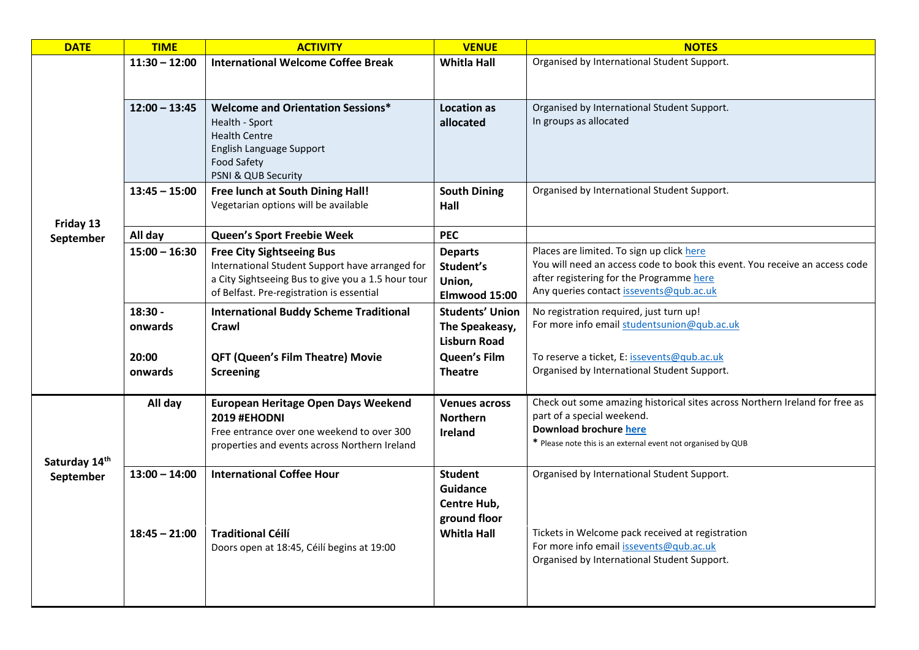| <b>DATE</b>   | <b>TIME</b>      | <b>ACTIVITY</b>                                                                                       | <b>VENUE</b>                          | <b>NOTES</b>                                                                                                            |
|---------------|------------------|-------------------------------------------------------------------------------------------------------|---------------------------------------|-------------------------------------------------------------------------------------------------------------------------|
|               | $11:30 - 12:00$  | <b>International Welcome Coffee Break</b>                                                             | <b>Whitla Hall</b>                    | Organised by International Student Support.                                                                             |
|               |                  |                                                                                                       |                                       |                                                                                                                         |
|               | $12:00 - 13:45$  | <b>Welcome and Orientation Sessions*</b>                                                              | <b>Location as</b>                    | Organised by International Student Support.                                                                             |
|               |                  | Health - Sport                                                                                        | allocated                             | In groups as allocated                                                                                                  |
|               |                  | <b>Health Centre</b><br>English Language Support                                                      |                                       |                                                                                                                         |
|               |                  | <b>Food Safety</b>                                                                                    |                                       |                                                                                                                         |
|               |                  | PSNI & QUB Security                                                                                   |                                       |                                                                                                                         |
|               | $13:45 - 15:00$  | Free lunch at South Dining Hall!<br>Vegetarian options will be available                              | <b>South Dining</b><br>Hall           | Organised by International Student Support.                                                                             |
| Friday 13     |                  |                                                                                                       |                                       |                                                                                                                         |
| September     | All day          | Queen's Sport Freebie Week                                                                            | <b>PEC</b>                            |                                                                                                                         |
|               | $15:00 - 16:30$  | <b>Free City Sightseeing Bus</b>                                                                      | <b>Departs</b>                        | Places are limited. To sign up click here                                                                               |
|               |                  | International Student Support have arranged for<br>a City Sightseeing Bus to give you a 1.5 hour tour | Student's<br>Union,                   | You will need an access code to book this event. You receive an access code<br>after registering for the Programme here |
|               |                  | of Belfast. Pre-registration is essential                                                             | Elmwood 15:00                         | Any queries contact issevents@qub.ac.uk                                                                                 |
|               | $18:30 -$        | <b>International Buddy Scheme Traditional</b>                                                         | <b>Students' Union</b>                | No registration required, just turn up!                                                                                 |
|               | onwards          | Crawl                                                                                                 | The Speakeasy,                        | For more info email studentsunion@qub.ac.uk                                                                             |
|               |                  |                                                                                                       | <b>Lisburn Road</b>                   |                                                                                                                         |
|               | 20:00<br>onwards | <b>QFT (Queen's Film Theatre) Movie</b><br><b>Screening</b>                                           | <b>Queen's Film</b><br><b>Theatre</b> | To reserve a ticket, E: issevents@qub.ac.uk<br>Organised by International Student Support.                              |
|               |                  |                                                                                                       |                                       |                                                                                                                         |
|               | All day          | <b>European Heritage Open Days Weekend</b>                                                            | <b>Venues across</b>                  | Check out some amazing historical sites across Northern Ireland for free as                                             |
|               |                  | 2019 #EHODNI                                                                                          | <b>Northern</b>                       | part of a special weekend.<br>Download brochure here                                                                    |
|               |                  | Free entrance over one weekend to over 300<br>properties and events across Northern Ireland           | Ireland                               | * Please note this is an external event not organised by QUB                                                            |
| Saturday 14th |                  |                                                                                                       |                                       |                                                                                                                         |
| September     | $13:00 - 14:00$  | <b>International Coffee Hour</b>                                                                      | <b>Student</b>                        | Organised by International Student Support.                                                                             |
|               |                  |                                                                                                       | Guidance                              |                                                                                                                         |
|               |                  |                                                                                                       | Centre Hub,<br>ground floor           |                                                                                                                         |
|               | $18:45 - 21:00$  | <b>Traditional Céilí</b>                                                                              | <b>Whitla Hall</b>                    | Tickets in Welcome pack received at registration                                                                        |
|               |                  | Doors open at 18:45, Céilí begins at 19:00                                                            |                                       | For more info email issevents@qub.ac.uk                                                                                 |
|               |                  |                                                                                                       |                                       | Organised by International Student Support.                                                                             |
|               |                  |                                                                                                       |                                       |                                                                                                                         |
|               |                  |                                                                                                       |                                       |                                                                                                                         |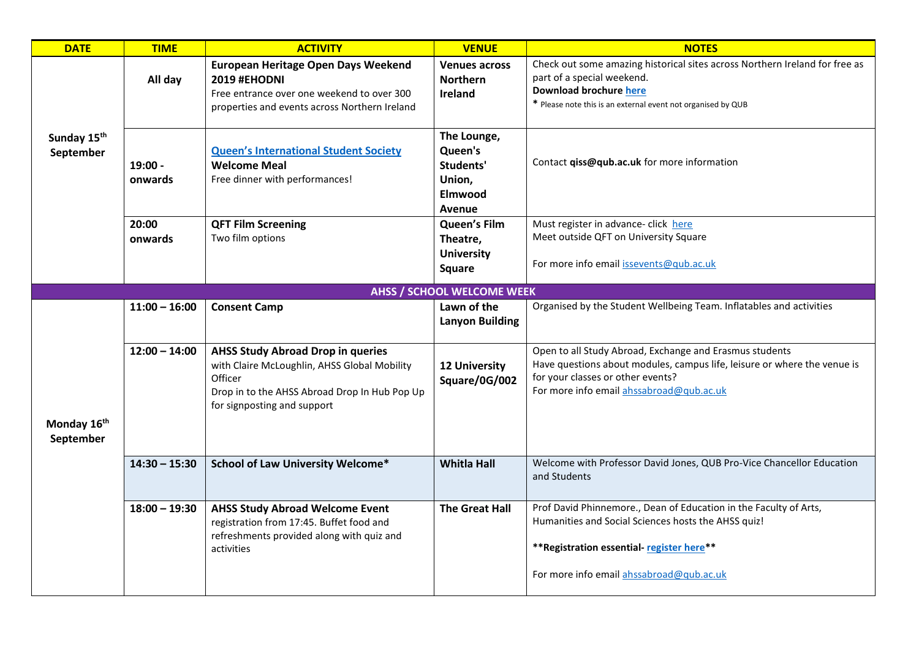| <b>DATE</b>                          | <b>TIME</b>          | <b>ACTIVITY</b>                                                                                                                                                                     | <b>VENUE</b>                                                          | <b>NOTES</b>                                                                                                                                                                                                         |
|--------------------------------------|----------------------|-------------------------------------------------------------------------------------------------------------------------------------------------------------------------------------|-----------------------------------------------------------------------|----------------------------------------------------------------------------------------------------------------------------------------------------------------------------------------------------------------------|
|                                      | All day              | <b>European Heritage Open Days Weekend</b><br>2019 #EHODNI<br>Free entrance over one weekend to over 300<br>properties and events across Northern Ireland                           | <b>Venues across</b><br><b>Northern</b><br><b>Ireland</b>             | Check out some amazing historical sites across Northern Ireland for free as<br>part of a special weekend.<br>Download brochure here<br>* Please note this is an external event not organised by QUB                  |
| Sunday 15 <sup>th</sup><br>September | $19:00 -$<br>onwards | <b>Queen's International Student Society</b><br><b>Welcome Meal</b><br>Free dinner with performances!                                                                               | The Lounge,<br>Queen's<br>Students'<br>Union,<br>Elmwood<br>Avenue    | Contact qiss@qub.ac.uk for more information                                                                                                                                                                          |
|                                      | 20:00<br>onwards     | <b>QFT Film Screening</b><br>Two film options                                                                                                                                       | <b>Queen's Film</b><br>Theatre,<br><b>University</b><br><b>Square</b> | Must register in advance- click here<br>Meet outside QFT on University Square<br>For more info email issevents@qub.ac.uk                                                                                             |
|                                      |                      |                                                                                                                                                                                     | <b>AHSS / SCHOOL WELCOME WEEK</b>                                     |                                                                                                                                                                                                                      |
|                                      | $11:00 - 16:00$      | <b>Consent Camp</b>                                                                                                                                                                 | Lawn of the<br><b>Lanyon Building</b>                                 | Organised by the Student Wellbeing Team. Inflatables and activities                                                                                                                                                  |
|                                      | $12:00 - 14:00$      | <b>AHSS Study Abroad Drop in queries</b><br>with Claire McLoughlin, AHSS Global Mobility<br>Officer<br>Drop in to the AHSS Abroad Drop In Hub Pop Up<br>for signposting and support | <b>12 University</b><br>Square/0G/002                                 | Open to all Study Abroad, Exchange and Erasmus students<br>Have questions about modules, campus life, leisure or where the venue is<br>for your classes or other events?<br>For more info email ahssabroad@qub.ac.uk |
| Monday 16th<br>September             |                      |                                                                                                                                                                                     |                                                                       |                                                                                                                                                                                                                      |
|                                      | $14:30 - 15:30$      | <b>School of Law University Welcome*</b>                                                                                                                                            | <b>Whitla Hall</b>                                                    | Welcome with Professor David Jones, QUB Pro-Vice Chancellor Education<br>and Students                                                                                                                                |
|                                      | $18:00 - 19:30$      | <b>AHSS Study Abroad Welcome Event</b><br>registration from 17:45. Buffet food and<br>refreshments provided along with quiz and<br>activities                                       | <b>The Great Hall</b>                                                 | Prof David Phinnemore., Dean of Education in the Faculty of Arts,<br>Humanities and Social Sciences hosts the AHSS quiz!<br>** Registration essential-register here**<br>For more info email ahssabroad@qub.ac.uk    |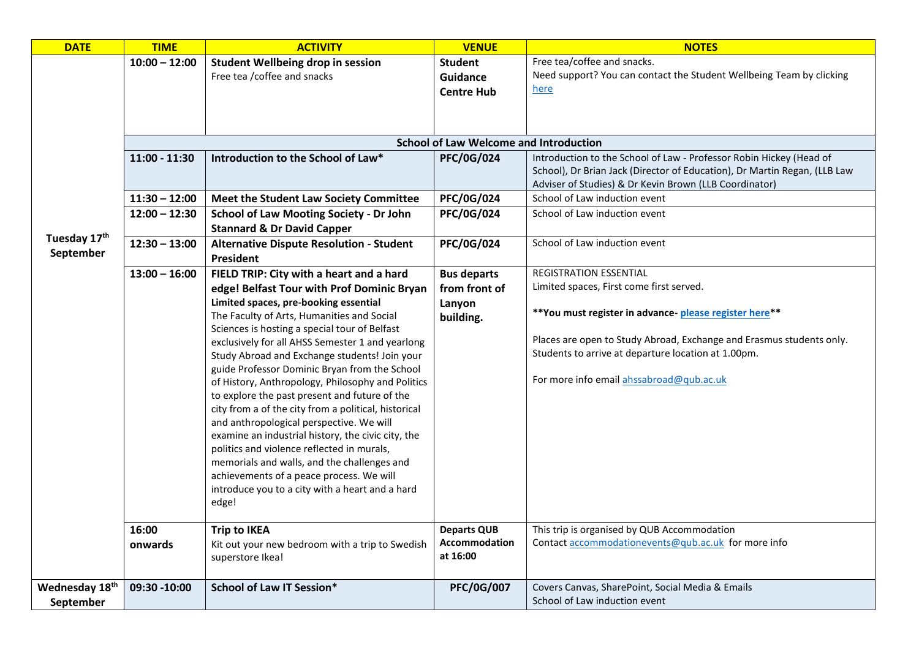| <b>DATE</b>                 | <b>TIME</b>      | <b>ACTIVITY</b>                                                                                                                                                                                                                                                                                                                                                                                                                                                                                                                                                                                                                                                                                                                                                                                               | <b>VENUE</b>                                           | <b>NOTES</b>                                                                                                                                                                                                                                                                  |
|-----------------------------|------------------|---------------------------------------------------------------------------------------------------------------------------------------------------------------------------------------------------------------------------------------------------------------------------------------------------------------------------------------------------------------------------------------------------------------------------------------------------------------------------------------------------------------------------------------------------------------------------------------------------------------------------------------------------------------------------------------------------------------------------------------------------------------------------------------------------------------|--------------------------------------------------------|-------------------------------------------------------------------------------------------------------------------------------------------------------------------------------------------------------------------------------------------------------------------------------|
|                             | $10:00 - 12:00$  | Student Wellbeing drop in session<br>Free tea / coffee and snacks                                                                                                                                                                                                                                                                                                                                                                                                                                                                                                                                                                                                                                                                                                                                             | <b>Student</b><br><b>Guidance</b><br><b>Centre Hub</b> | Free tea/coffee and snacks.<br>Need support? You can contact the Student Wellbeing Team by clicking<br>here                                                                                                                                                                   |
|                             |                  |                                                                                                                                                                                                                                                                                                                                                                                                                                                                                                                                                                                                                                                                                                                                                                                                               | <b>School of Law Welcome and Introduction</b>          |                                                                                                                                                                                                                                                                               |
|                             | $11:00 - 11:30$  | Introduction to the School of Law*                                                                                                                                                                                                                                                                                                                                                                                                                                                                                                                                                                                                                                                                                                                                                                            | <b>PFC/0G/024</b>                                      | Introduction to the School of Law - Professor Robin Hickey (Head of<br>School), Dr Brian Jack (Director of Education), Dr Martin Regan, (LLB Law<br>Adviser of Studies) & Dr Kevin Brown (LLB Coordinator)                                                                    |
|                             | $11:30 - 12:00$  | Meet the Student Law Society Committee                                                                                                                                                                                                                                                                                                                                                                                                                                                                                                                                                                                                                                                                                                                                                                        | <b>PFC/0G/024</b>                                      | School of Law induction event                                                                                                                                                                                                                                                 |
|                             | $12:00 - 12:30$  | <b>School of Law Mooting Society - Dr John</b><br><b>Stannard &amp; Dr David Capper</b>                                                                                                                                                                                                                                                                                                                                                                                                                                                                                                                                                                                                                                                                                                                       | <b>PFC/0G/024</b>                                      | School of Law induction event                                                                                                                                                                                                                                                 |
| Tuesday 17th<br>September   | $12:30 - 13:00$  | <b>Alternative Dispute Resolution - Student</b><br>President                                                                                                                                                                                                                                                                                                                                                                                                                                                                                                                                                                                                                                                                                                                                                  | <b>PFC/0G/024</b>                                      | School of Law induction event                                                                                                                                                                                                                                                 |
|                             | $13:00 - 16:00$  | FIELD TRIP: City with a heart and a hard                                                                                                                                                                                                                                                                                                                                                                                                                                                                                                                                                                                                                                                                                                                                                                      | <b>Bus departs</b>                                     | REGISTRATION ESSENTIAL                                                                                                                                                                                                                                                        |
|                             |                  | edge! Belfast Tour with Prof Dominic Bryan<br>Limited spaces, pre-booking essential<br>The Faculty of Arts, Humanities and Social<br>Sciences is hosting a special tour of Belfast<br>exclusively for all AHSS Semester 1 and yearlong<br>Study Abroad and Exchange students! Join your<br>guide Professor Dominic Bryan from the School<br>of History, Anthropology, Philosophy and Politics<br>to explore the past present and future of the<br>city from a of the city from a political, historical<br>and anthropological perspective. We will<br>examine an industrial history, the civic city, the<br>politics and violence reflected in murals,<br>memorials and walls, and the challenges and<br>achievements of a peace process. We will<br>introduce you to a city with a heart and a hard<br>edge! | from front of<br>Lanyon<br>building.                   | Limited spaces, First come first served.<br>** You must register in advance-please register here**<br>Places are open to Study Abroad, Exchange and Erasmus students only.<br>Students to arrive at departure location at 1.00pm.<br>For more info email ahssabroad@qub.ac.uk |
|                             | 16:00<br>onwards | <b>Trip to IKEA</b><br>Kit out your new bedroom with a trip to Swedish<br>superstore Ikea!                                                                                                                                                                                                                                                                                                                                                                                                                                                                                                                                                                                                                                                                                                                    | <b>Departs QUB</b><br>Accommodation<br>at 16:00        | This trip is organised by QUB Accommodation<br>Contact accommodationevents@qub.ac.uk for more info                                                                                                                                                                            |
| Wednesday 18th<br>September | 09:30 -10:00     | School of Law IT Session*                                                                                                                                                                                                                                                                                                                                                                                                                                                                                                                                                                                                                                                                                                                                                                                     | <b>PFC/0G/007</b>                                      | Covers Canvas, SharePoint, Social Media & Emails<br>School of Law induction event                                                                                                                                                                                             |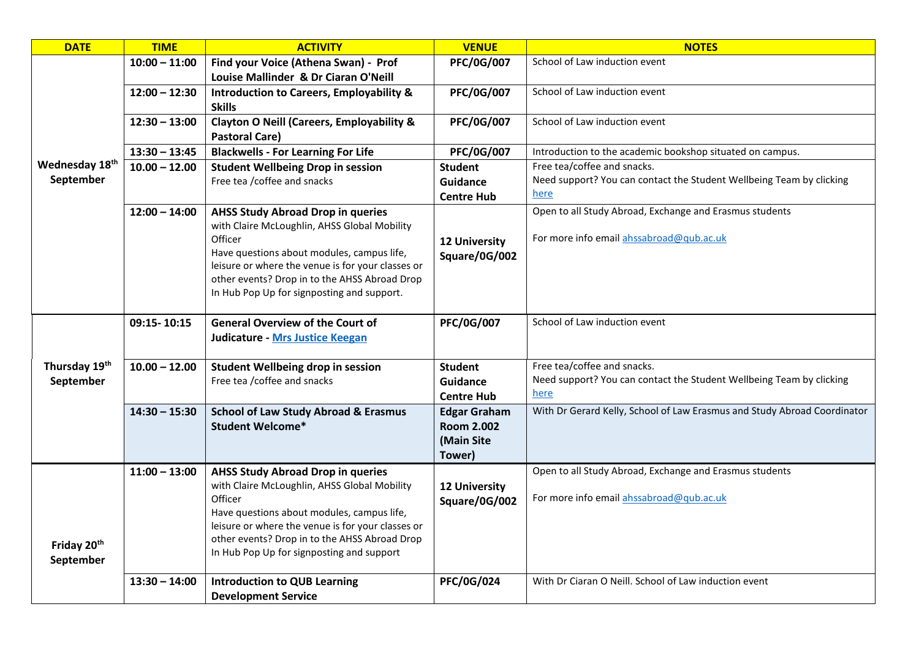| <b>DATE</b>                          | <b>TIME</b>     | <b>ACTIVITY</b>                                                                                                                                                                                                                                                                                       | <b>VENUE</b>                                                     | <b>NOTES</b>                                                                                        |
|--------------------------------------|-----------------|-------------------------------------------------------------------------------------------------------------------------------------------------------------------------------------------------------------------------------------------------------------------------------------------------------|------------------------------------------------------------------|-----------------------------------------------------------------------------------------------------|
|                                      | $10:00 - 11:00$ | Find your Voice (Athena Swan) - Prof                                                                                                                                                                                                                                                                  | PFC/0G/007                                                       | School of Law induction event                                                                       |
|                                      |                 | Louise Mallinder & Dr Ciaran O'Neill                                                                                                                                                                                                                                                                  |                                                                  |                                                                                                     |
|                                      | $12:00 - 12:30$ | <b>Introduction to Careers, Employability &amp;</b><br><b>Skills</b>                                                                                                                                                                                                                                  | PFC/0G/007                                                       | School of Law induction event                                                                       |
|                                      | $12:30 - 13:00$ | <b>Clayton O Neill (Careers, Employability &amp;</b><br><b>Pastoral Care)</b>                                                                                                                                                                                                                         | <b>PFC/0G/007</b>                                                | School of Law induction event                                                                       |
|                                      | $13:30 - 13:45$ | <b>Blackwells - For Learning For Life</b>                                                                                                                                                                                                                                                             | PFC/0G/007                                                       | Introduction to the academic bookshop situated on campus.                                           |
| Wednesday 18th                       | $10.00 - 12.00$ | <b>Student Wellbeing Drop in session</b>                                                                                                                                                                                                                                                              | <b>Student</b>                                                   | Free tea/coffee and snacks.                                                                         |
| September                            |                 | Free tea / coffee and snacks                                                                                                                                                                                                                                                                          | Guidance<br><b>Centre Hub</b>                                    | Need support? You can contact the Student Wellbeing Team by clicking<br>here                        |
|                                      | $12:00 - 14:00$ | <b>AHSS Study Abroad Drop in queries</b><br>with Claire McLoughlin, AHSS Global Mobility<br>Officer<br>Have questions about modules, campus life,<br>leisure or where the venue is for your classes or<br>other events? Drop in to the AHSS Abroad Drop<br>In Hub Pop Up for signposting and support. | <b>12 University</b><br>Square/0G/002                            | Open to all Study Abroad, Exchange and Erasmus students<br>For more info email ahssabroad@qub.ac.uk |
|                                      | 09:15-10:15     | <b>General Overview of the Court of</b><br>Judicature - Mrs Justice Keegan                                                                                                                                                                                                                            | <b>PFC/0G/007</b>                                                | School of Law induction event                                                                       |
| Thursday 19th                        | $10.00 - 12.00$ | Student Wellbeing drop in session                                                                                                                                                                                                                                                                     | <b>Student</b>                                                   | Free tea/coffee and snacks.                                                                         |
| September                            |                 | Free tea / coffee and snacks                                                                                                                                                                                                                                                                          | <b>Guidance</b><br><b>Centre Hub</b>                             | Need support? You can contact the Student Wellbeing Team by clicking<br>here                        |
|                                      | $14:30 - 15:30$ | <b>School of Law Study Abroad &amp; Erasmus</b><br><b>Student Welcome*</b>                                                                                                                                                                                                                            | <b>Edgar Graham</b><br><b>Room 2.002</b><br>(Main Site<br>Tower) | With Dr Gerard Kelly, School of Law Erasmus and Study Abroad Coordinator                            |
| Friday 20 <sup>th</sup><br>September | $11:00 - 13:00$ | <b>AHSS Study Abroad Drop in queries</b><br>with Claire McLoughlin, AHSS Global Mobility<br>Officer<br>Have questions about modules, campus life,<br>leisure or where the venue is for your classes or<br>other events? Drop in to the AHSS Abroad Drop<br>In Hub Pop Up for signposting and support  | <b>12 University</b><br>Square/0G/002                            | Open to all Study Abroad, Exchange and Erasmus students<br>For more info email ahssabroad@qub.ac.uk |
|                                      | $13:30 - 14:00$ | <b>Introduction to QUB Learning</b><br><b>Development Service</b>                                                                                                                                                                                                                                     | <b>PFC/0G/024</b>                                                | With Dr Ciaran O Neill. School of Law induction event                                               |